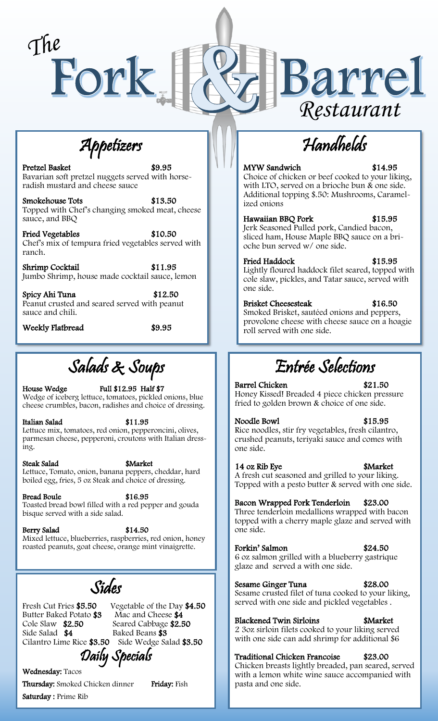

Appetizers

Pretzel Basket \$9.95 Bavarian soft pretzel nuggets served with horseradish mustard and cheese sauce

Smokehouse Tots \$13.50 Topped with Chef's changing smoked meat, cheese sauce, and BBQ

Fried Vegetables \$10.50 Chef's mix of tempura fried vegetables served with ranch.

Shrimp Cocktail \$11.95 Jumbo Shrimp, house made cocktail sauce, lemon

Spicy Ahi Tuna \$12.50 Peanut crusted and seared served with peanut sauce and chili.

Weekly Flatbread \$9.95

Salads & Soups

House Wedge Full \$12.95 Half \$7 Wedge of iceberg lettuce, tomatoes, pickled onions, blue cheese crumbles, bacon, radishes and choice of dressing.

Italian Salad \$11.95 Lettuce mix, tomatoes, red onion, pepperoncini, olives, parmesan cheese, pepperoni, croutons with Italian dressing.

Steak Salad \$Market Lettuce, Tomato, onion, banana peppers, cheddar, hard boiled egg, fries, 5 oz Steak and choice of dressing.

Bread Boule \$16.95 Toasted bread bowl filled with a red pepper and gouda bisque served with a side salad.

Berry Salad \$14.50 Mixed lettuce, blueberries, raspberries, red onion, honey roasted peanuts, goat cheese, orange mint vinaigrette.

Sides

Butter Baked Potato \$3<br>Cole Slaw \$2.50 Side Salad \$4 Baked Beans \$3

Fresh Cut Fries \$5.50 Vegetable of the Day \$4.50<br>Butter Baked Potato \$3 Mac and Cheese \$4 Seared Cabbage \$2.50 Cilantro Lime Rice \$3.50 Side Wedge Salad \$3.50 Daily Specials

Wednesday: Tacos

Thursday: Smoked Chicken dinner Friday: Fish Saturday : Prime Rib

## MYW Sandwich \$14.95

Handhelds

Choice of chicken or beef cooked to your liking, with LTO, served on a brioche bun & one side. Additional topping \$.50: Mushrooms, Caramelized onions

Hawaiian BBQ Pork \$15.95 Jerk Seasoned Pulled pork, Candied bacon, sliced ham, House Maple BBQ sauce on a brioche bun served w/ one side.

Fried Haddock \$15.95 Lightly floured haddock filet seared, topped with cole slaw, pickles, and Tatar sauce, served with one side.

Brisket Cheesesteak \$16.50 Smoked Brisket, sautéed onions and peppers, provolone cheese with cheese sauce on a hoagie roll served with one side.

## Entrée Selections

Barrel Chicken \$21.50 Honey Kissed! Breaded 4 piece chicken pressure fried to golden brown & choice of one side.

Noodle Bowl \$15.95 Rice noodles, stir fry vegetables, fresh cilantro, crushed peanuts, teriyaki sauce and comes with one side.

14 oz Rib Eye **\$Market** A fresh cut seasoned and grilled to your liking. Topped with a pesto butter & served with one side.

Bacon Wrapped Pork Tenderloin \$23.00 Three tenderloin medallions wrapped with bacon topped with a cherry maple glaze and served with one side.

Forkin' Salmon \$24.50 6 oz salmon grilled with a blueberry gastrique glaze and served a with one side.

Sesame Ginger Tuna \$28.00 Sesame crusted filet of tuna cooked to your liking, served with one side and pickled vegetables .

Blackened Twin Sirloins \$Market 2 3oz sirloin filets cooked to your liking served with one side can add shrimp for additional \$6

Traditional Chicken Francoise \$23.00 Chicken breasts lightly breaded, pan seared, served with a lemon white wine sauce accompanied with pasta and one side.